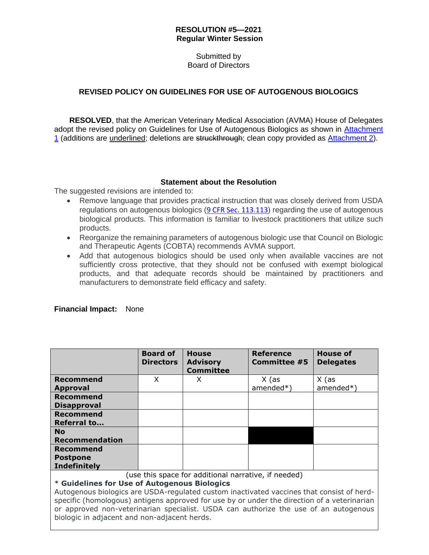## **RESOLUTION #5—2021 Regular Winter Session**

Submitted by Board of Directors

## **REVISED POLICY ON GUIDELINES FOR USE OF AUTOGENOUS BIOLOGICS**

**RESOLVED**, that the American Veterinary Medical Association (AVMA) House of Delegates adopt the revised policy on Guidelines for Use of Autogenous Biologics as shown in [Attachment](https://www.avma.org/sites/default/files/2020-12/2021W_Resolution5_Autogenous_attch1.pdf)  [1](https://www.avma.org/sites/default/files/2020-12/2021W_Resolution5_Autogenous_attch1.pdf) (additions are underlined; deletions are struckthrough; clean copy provided as [Attachment 2\)](https://www.avma.org/sites/default/files/2020-12/2021W_Resolution5_Autogenous_attch2.pdf).

## **Statement about the Resolution**

The suggested revisions are intended to:

- Remove language that provides practical instruction that was closely derived from USDA regulations on autogenous biologics ([9 CFR Sec. 113.113](https://www.ecfr.gov/cgi-bin/text-idx?SID=b5cb35648d83b969f147b48e2dac5b6a&mc=true&node=pt9.1.113&rgn=div5#se9.1.113_1113)) regarding the use of autogenous biological products. This information is familiar to livestock practitioners that utilize such products.
- Reorganize the remaining parameters of autogenous biologic use that Council on Biologic and Therapeutic Agents (COBTA) recommends AVMA support.
- Add that autogenous biologics should be used only when available vaccines are not sufficiently cross protective, that they should not be confused with exempt biological products, and that adequate records should be maintained by practitioners and manufacturers to demonstrate field efficacy and safety.

|                                                                                             | <b>Board of</b><br><b>Directors</b> | <b>House</b><br><b>Advisory</b><br><b>Committee</b> | Reference<br><b>Committee #5</b> | House of<br><b>Delegates</b> |
|---------------------------------------------------------------------------------------------|-------------------------------------|-----------------------------------------------------|----------------------------------|------------------------------|
| <b>Recommend</b>                                                                            | X                                   | X                                                   | X (as                            | $X$ (as                      |
| <b>Approval</b>                                                                             |                                     |                                                     | $amended*)$                      | $amended*)$                  |
| Recommend                                                                                   |                                     |                                                     |                                  |                              |
| <b>Disapproval</b>                                                                          |                                     |                                                     |                                  |                              |
| <b>Recommend</b>                                                                            |                                     |                                                     |                                  |                              |
| <b>Referral to</b>                                                                          |                                     |                                                     |                                  |                              |
| <b>No</b>                                                                                   |                                     |                                                     |                                  |                              |
| <b>Recommendation</b>                                                                       |                                     |                                                     |                                  |                              |
| Recommend                                                                                   |                                     |                                                     |                                  |                              |
| <b>Postpone</b>                                                                             |                                     |                                                     |                                  |                              |
| <b>Indefinitely</b>                                                                         |                                     |                                                     |                                  |                              |
| (use this space for additional narrative, if needed)                                        |                                     |                                                     |                                  |                              |
| * Guidelines for Use of Autogenous Biologics                                                |                                     |                                                     |                                  |                              |
| Autogenous biologics are USDA-regulated custom inactivated vaccines that consist of herd-   |                                     |                                                     |                                  |                              |
| specific (homologous) antigens approved for use by or under the direction of a veterinarian |                                     |                                                     |                                  |                              |
| or approved non-veterinarian specialist. USDA can authorize the use of an autogenous        |                                     |                                                     |                                  |                              |

## **Financial Impact:** None

biologic in adjacent and non-adjacent herds.